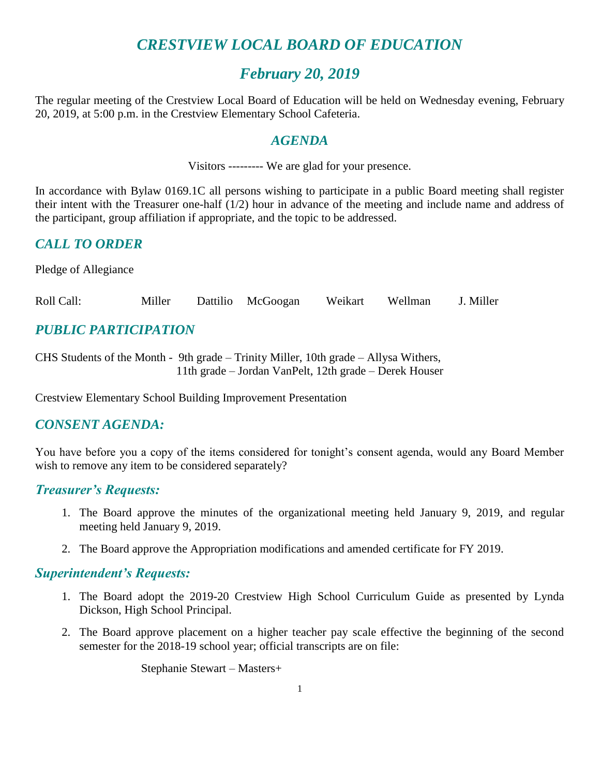# *CRESTVIEW LOCAL BOARD OF EDUCATION*

# *February 20, 2019*

The regular meeting of the Crestview Local Board of Education will be held on Wednesday evening, February 20, 2019, at 5:00 p.m. in the Crestview Elementary School Cafeteria.

### *AGENDA*

Visitors --------- We are glad for your presence.

In accordance with Bylaw 0169.1C all persons wishing to participate in a public Board meeting shall register their intent with the Treasurer one-half (1/2) hour in advance of the meeting and include name and address of the participant, group affiliation if appropriate, and the topic to be addressed.

# *CALL TO ORDER*

Pledge of Allegiance

Roll Call: Miller Dattilio McGoogan Weikart Wellman J. Miller

# *PUBLIC PARTICIPATION*

CHS Students of the Month - 9th grade – Trinity Miller, 10th grade – Allysa Withers, 11th grade – Jordan VanPelt, 12th grade – Derek Houser

Crestview Elementary School Building Improvement Presentation

## *CONSENT AGENDA:*

You have before you a copy of the items considered for tonight's consent agenda, would any Board Member wish to remove any item to be considered separately?

## *Treasurer's Requests:*

- 1. The Board approve the minutes of the organizational meeting held January 9, 2019, and regular meeting held January 9, 2019.
- 2. The Board approve the Appropriation modifications and amended certificate for FY 2019.

## *Superintendent's Requests:*

- 1. The Board adopt the 2019-20 Crestview High School Curriculum Guide as presented by Lynda Dickson, High School Principal.
- 2. The Board approve placement on a higher teacher pay scale effective the beginning of the second semester for the 2018-19 school year; official transcripts are on file:

Stephanie Stewart – Masters+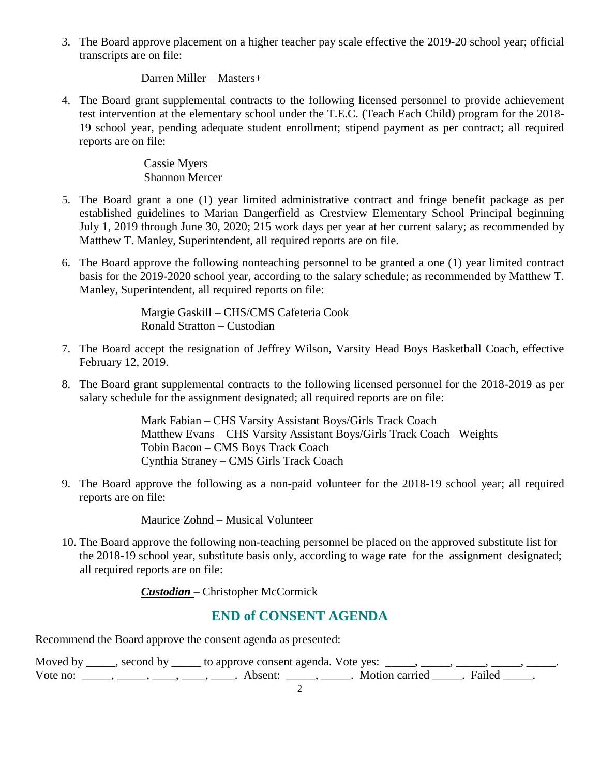3. The Board approve placement on a higher teacher pay scale effective the 2019-20 school year; official transcripts are on file:

#### Darren Miller – Masters+

4. The Board grant supplemental contracts to the following licensed personnel to provide achievement test intervention at the elementary school under the T.E.C. (Teach Each Child) program for the 2018- 19 school year, pending adequate student enrollment; stipend payment as per contract; all required reports are on file:

#### Cassie Myers Shannon Mercer

- 5. The Board grant a one (1) year limited administrative contract and fringe benefit package as per established guidelines to Marian Dangerfield as Crestview Elementary School Principal beginning July 1, 2019 through June 30, 2020; 215 work days per year at her current salary; as recommended by Matthew T. Manley, Superintendent, all required reports are on file.
- 6. The Board approve the following nonteaching personnel to be granted a one (1) year limited contract basis for the 2019-2020 school year, according to the salary schedule; as recommended by Matthew T. Manley, Superintendent, all required reports on file:

Margie Gaskill – CHS/CMS Cafeteria Cook Ronald Stratton – Custodian

- 7. The Board accept the resignation of Jeffrey Wilson, Varsity Head Boys Basketball Coach, effective February 12, 2019.
- 8. The Board grant supplemental contracts to the following licensed personnel for the 2018-2019 as per salary schedule for the assignment designated; all required reports are on file:

Mark Fabian – CHS Varsity Assistant Boys/Girls Track Coach Matthew Evans – CHS Varsity Assistant Boys/Girls Track Coach –Weights Tobin Bacon – CMS Boys Track Coach Cynthia Straney – CMS Girls Track Coach

9. The Board approve the following as a non-paid volunteer for the 2018-19 school year; all required reports are on file:

Maurice Zohnd – Musical Volunteer

10. The Board approve the following non-teaching personnel be placed on the approved substitute list for the 2018-19 school year, substitute basis only, according to wage rate for the assignment designated; all required reports are on file:

*Custodian* – Christopher McCormick

# **END of CONSENT AGENDA**

Recommend the Board approve the consent agenda as presented:

|          | Moved by _____, second by _____ to approve consent agenda. Vote yes: |                       |  |
|----------|----------------------------------------------------------------------|-----------------------|--|
| Vote no: | Absent:                                                              | Motion carried Failed |  |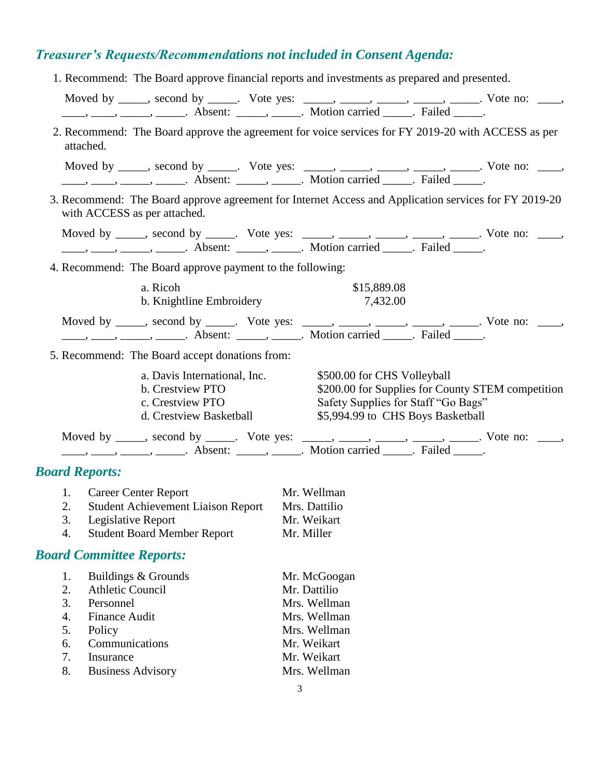# *Treasurer's Requests/Recommendations not included in Consent Agenda:*

| 1. Recommend: The Board approve financial reports and investments as prepared and presented.                                                                                                                                                                                                                                                                                                                                |                          |                                                                                                                               |  |
|-----------------------------------------------------------------------------------------------------------------------------------------------------------------------------------------------------------------------------------------------------------------------------------------------------------------------------------------------------------------------------------------------------------------------------|--------------------------|-------------------------------------------------------------------------------------------------------------------------------|--|
| Moved by _____, second by _____. Vote yes: _____, _____, _____, _____, _____. Vote no: ____,                                                                                                                                                                                                                                                                                                                                |                          |                                                                                                                               |  |
|                                                                                                                                                                                                                                                                                                                                                                                                                             |                          |                                                                                                                               |  |
| 2. Recommend: The Board approve the agreement for voice services for FY 2019-20 with ACCESS as per<br>attached.                                                                                                                                                                                                                                                                                                             |                          |                                                                                                                               |  |
| Moved by _____, second by _____. Vote yes: _____, _____, ____, ____, ____. Vote no: ____,                                                                                                                                                                                                                                                                                                                                   |                          |                                                                                                                               |  |
|                                                                                                                                                                                                                                                                                                                                                                                                                             |                          |                                                                                                                               |  |
| 3. Recommend: The Board approve agreement for Internet Access and Application services for FY 2019-20<br>with ACCESS as per attached.                                                                                                                                                                                                                                                                                       |                          |                                                                                                                               |  |
| Moved by _____, second by _____. Vote yes: _____, _____, _____, _____, _____. Vote no: ____,                                                                                                                                                                                                                                                                                                                                |                          |                                                                                                                               |  |
| $\frac{1}{1}, \frac{1}{1}, \frac{1}{1}, \frac{1}{1}, \frac{1}{1}, \frac{1}{1}, \frac{1}{1}, \frac{1}{1}, \frac{1}{1}, \frac{1}{1}, \frac{1}{1}, \frac{1}{1}, \frac{1}{1}, \frac{1}{1}, \frac{1}{1}, \frac{1}{1}, \frac{1}{1}, \frac{1}{1}, \frac{1}{1}, \frac{1}{1}, \frac{1}{1}, \frac{1}{1}, \frac{1}{1}, \frac{1}{1}, \frac{1}{1}, \frac{1}{1}, \frac{1}{1}, \frac{1}{1}, \frac{1}{1}, \frac{1}{1}, \frac{1}{1}, \frac{$ |                          |                                                                                                                               |  |
| 4. Recommend: The Board approve payment to the following:                                                                                                                                                                                                                                                                                                                                                                   |                          |                                                                                                                               |  |
|                                                                                                                                                                                                                                                                                                                                                                                                                             |                          |                                                                                                                               |  |
| a. Ricoh                                                                                                                                                                                                                                                                                                                                                                                                                    |                          | \$15,889.08                                                                                                                   |  |
|                                                                                                                                                                                                                                                                                                                                                                                                                             | b. Knightline Embroidery | 7,432.00                                                                                                                      |  |
| Moved by _____, second by _____. Vote yes: _____, _____, _____, _____, _____. Vote no: ____,                                                                                                                                                                                                                                                                                                                                |                          |                                                                                                                               |  |
|                                                                                                                                                                                                                                                                                                                                                                                                                             |                          |                                                                                                                               |  |
| 5. Recommend: The Board accept donations from:                                                                                                                                                                                                                                                                                                                                                                              |                          |                                                                                                                               |  |
| b. Crestview PTO<br>c. Crestview PTO<br>d. Crestview Basketball                                                                                                                                                                                                                                                                                                                                                             |                          | \$200.00 for Supplies for County STEM competition<br>Safety Supplies for Staff "Go Bags"<br>\$5,994.99 to CHS Boys Basketball |  |
| Moved by _____, second by _____. Vote yes: _____, _____, _____, _____, _____. Vote no: ____,                                                                                                                                                                                                                                                                                                                                |                          |                                                                                                                               |  |
| $\frac{1}{1}, \frac{1}{1}, \frac{1}{1}, \frac{1}{1}, \frac{1}{1}, \frac{1}{1}, \frac{1}{1}, \frac{1}{1}, \frac{1}{1}, \frac{1}{1}, \frac{1}{1}, \frac{1}{1}, \frac{1}{1}, \frac{1}{1}, \frac{1}{1}, \frac{1}{1}, \frac{1}{1}, \frac{1}{1}, \frac{1}{1}, \frac{1}{1}, \frac{1}{1}, \frac{1}{1}, \frac{1}{1}, \frac{1}{1}, \frac{1}{1}, \frac{1}{1}, \frac{1}{1}, \frac{1}{1}, \frac{1}{1}, \frac{1}{1}, \frac{1}{1}, \frac{$ |                          |                                                                                                                               |  |
|                                                                                                                                                                                                                                                                                                                                                                                                                             |                          |                                                                                                                               |  |
| <b>Board Reports:</b>                                                                                                                                                                                                                                                                                                                                                                                                       |                          |                                                                                                                               |  |
| 1. Career Center Report                                                                                                                                                                                                                                                                                                                                                                                                     | Mr. Wellman              |                                                                                                                               |  |
| 2. Student Achievement Liaison Report Mrs. Dattilio                                                                                                                                                                                                                                                                                                                                                                         |                          |                                                                                                                               |  |
| 3.<br>Legislative Report<br>4.<br><b>Student Board Member Report</b>                                                                                                                                                                                                                                                                                                                                                        |                          | Mr. Weikart<br>Mr. Miller                                                                                                     |  |
|                                                                                                                                                                                                                                                                                                                                                                                                                             |                          |                                                                                                                               |  |
| <b>Board Committee Reports:</b>                                                                                                                                                                                                                                                                                                                                                                                             |                          |                                                                                                                               |  |
| Buildings & Grounds<br>1.                                                                                                                                                                                                                                                                                                                                                                                                   |                          | Mr. McGoogan                                                                                                                  |  |
| 2.<br><b>Athletic Council</b>                                                                                                                                                                                                                                                                                                                                                                                               |                          | Mr. Dattilio                                                                                                                  |  |
| 3.<br>Personnel                                                                                                                                                                                                                                                                                                                                                                                                             |                          | Mrs. Wellman                                                                                                                  |  |
| 4.<br><b>Finance Audit</b>                                                                                                                                                                                                                                                                                                                                                                                                  |                          | Mrs. Wellman                                                                                                                  |  |
| 5.<br>Policy                                                                                                                                                                                                                                                                                                                                                                                                                |                          | Mrs. Wellman                                                                                                                  |  |
| Communications<br>6.                                                                                                                                                                                                                                                                                                                                                                                                        |                          | Mr. Weikart                                                                                                                   |  |
| Insurance<br>7.                                                                                                                                                                                                                                                                                                                                                                                                             |                          | Mr. Weikart                                                                                                                   |  |
| <b>Business Advisory</b><br>8.                                                                                                                                                                                                                                                                                                                                                                                              |                          | Mrs. Wellman                                                                                                                  |  |